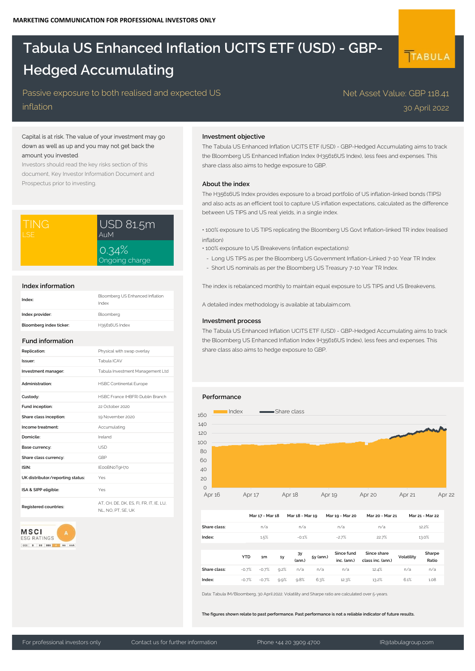# **Tabula US Enhanced Inflation UCITS ETF (USD) - GBP-Hedged Accumulating**

## Passive exposure to both realised and expected US

inflation

## Capital is at risk. The value of your investment may go down as well as up and you may not get back the amount you invested.

Investors should read the key risks section of this document, Key Investor Information Document and Prospectus prior to investing.

| I TING. | USD 81.5m               |  |  |
|---------|-------------------------|--|--|
| I SE    | AuM                     |  |  |
|         | 0.34%<br>Ongoing charge |  |  |

#### **Index information**

| Index:                  | Bloomberg US Enhanced Inflation<br>Index |
|-------------------------|------------------------------------------|
| Index provider:         | Bloomberg                                |
| Bloomberg index ticker: | H35616US Index                           |

## **Fund information**

| Replication:                     | Physical with swap overlay                                |
|----------------------------------|-----------------------------------------------------------|
| Issuer:                          | Tabula ICAV                                               |
| Investment manager:              | Tabula Investment Management Ltd                          |
| Administration:                  | <b>HSBC Continental Europe</b>                            |
| Custody:                         | HSBC France (HBFR) Dublin Branch                          |
| Fund inception:                  | 22 October 2020                                           |
| Share class inception:           | 19 November 2020                                          |
| Income treatment:                | Accumulating                                              |
| Domicile:                        | Ireland                                                   |
| Base currency:                   | USD.                                                      |
| Share class currency:            | GBP                                                       |
| ISIN:                            | IE00BN0T9H70                                              |
| UK distributor/reporting status: | Yes                                                       |
| ISA & SIPP eligible:             | Yes                                                       |
| Registered countries:            | AT, CH, DE, DK, ES, FI, FR, IT, IE, LU,<br>NI NO PT SE UK |

**MSCI A ESG RATINGS** 

# CCC B BB BBB A AA

### **Investment objective**

The Tabula US Enhanced Inflation UCITS ETF (USD) - GBP-Hedged Accumulating aims to track the Bloomberg US Enhanced Inflation Index (H35616US Index), less fees and expenses. This share class also aims to hedge exposure to GBP.

Net Asset Value: GBP 118.41

30 April 2022

TABULA

## **About the index**

The H35616US Index provides exposure to a broad portfolio of US inflation-linked bonds (TIPS) and also acts as an efficient tool to capture US inflation expectations, calculated as the difference between US TIPS and US real yields, in a single index.

• 100% exposure to US TIPS replicating the Bloomberg US Govt Inflation-linked TR index (realised inflation)

- 100% exposure to US Breakevens (inflation expectations):
- Long US TIPS as per the Bloomberg US Government Inflation-Linked 7-10 Year TR Index
- Short US nominals as per the Bloomberg US Treasury 7-10 Year TR Index.

The index is rebalanced monthly to maintain equal exposure to US TIPS and US Breakevens.

A detailed index methodology is available at tabulaim.com.

### **Investment process**

The Tabula US Enhanced Inflation UCITS ETF (USD) - GBP-Hedged Accumulating aims to track the Bloomberg US Enhanced Inflation Index (H35616US Index), less fees and expenses. This share class also aims to hedge exposure to GBP.

### **Performance**



|              |            | Mar 17 - Mar 18 |      | Mar 18 - Mar 19 |           | Mar 19 - Mar 20           | Mar 20 - Mar 21                  |            | Mar 21 - Mar 22 |  |
|--------------|------------|-----------------|------|-----------------|-----------|---------------------------|----------------------------------|------------|-----------------|--|
| Share class: |            | n/a             |      | n/a             |           | n/a                       | n/a                              |            | 12.2%           |  |
| Index:       |            | 1.5%            |      | $-0.1%$         |           | $-2.7%$                   | 22.7%                            |            | 13.0%           |  |
|              |            |                 |      |                 |           |                           |                                  |            |                 |  |
|              | <b>YTD</b> | 1m              | 1y   | 3Y<br>(ann.)    | 5y (ann.) | Since fund<br>inc. (ann.) | Since share<br>class inc. (ann.) | Volatility | Sharpe<br>Ratio |  |
| Share class: | $-0.7%$    | $-0.7%$         | 9.2% | n/a             | n/a       | n/a                       | 12.4%                            | n/a        | n/a             |  |
| Index:       | $-0.7%$    | $-0.7%$         | 9.9% | 9.8%            | 6.3%      | 12.3%                     | 13.2%                            | 6.1%       | 1.08            |  |

Data: Tabula IM/Bloomberg, 30 April 2022. Volatility and Sharpe ratio are calculated over 5-years.

**The figures shown relate to past performance. Past performance is not a reliable indicator of future results.**